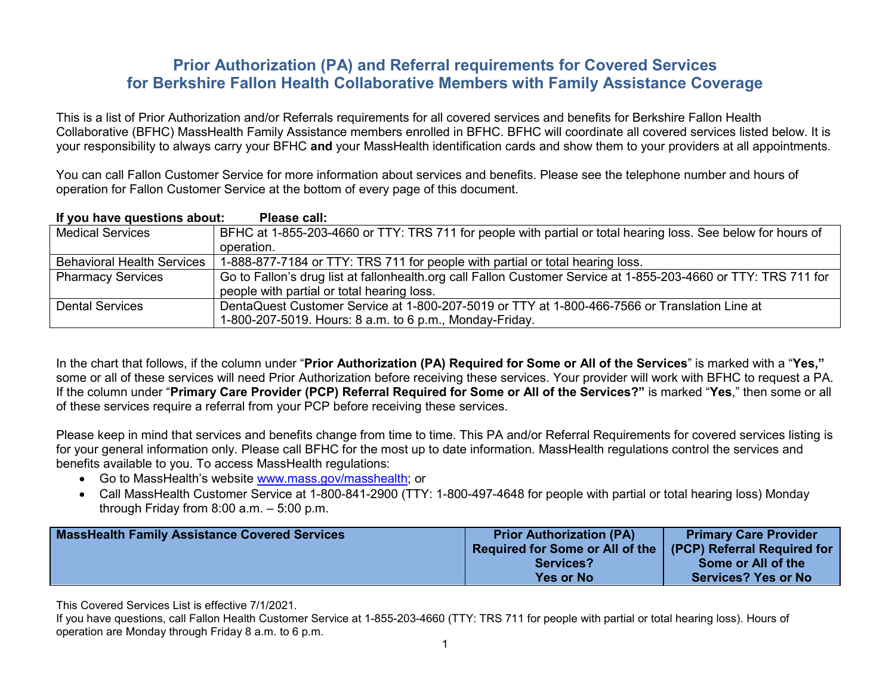# **Prior Authorization (PA) and Referral requirements for Covered Services for Berkshire Fallon Health Collaborative Members with Family Assistance Coverage**

This is a list of Prior Authorization and/or Referrals requirements for all covered services and benefits for Berkshire Fallon Health Collaborative (BFHC) MassHealth Family Assistance members enrolled in BFHC. BFHC will coordinate all covered services listed below. It is your responsibility to always carry your BFHC **and** your MassHealth identification cards and show them to your providers at all appointments.

You can call Fallon Customer Service for more information about services and benefits. Please see the telephone number and hours of operation for Fallon Customer Service at the bottom of every page of this document.

| If you have questions about:      | Please call:                                                                                                    |
|-----------------------------------|-----------------------------------------------------------------------------------------------------------------|
| <b>Medical Services</b>           | BFHC at 1-855-203-4660 or TTY: TRS 711 for people with partial or total hearing loss. See below for hours of    |
|                                   | operation.                                                                                                      |
| <b>Behavioral Health Services</b> | 1-888-877-7184 or TTY: TRS 711 for people with partial or total hearing loss.                                   |
| <b>Pharmacy Services</b>          | Go to Fallon's drug list at fallonhealth.org call Fallon Customer Service at 1-855-203-4660 or TTY: TRS 711 for |
|                                   | people with partial or total hearing loss.                                                                      |
| Dental Services                   | DentaQuest Customer Service at 1-800-207-5019 or TTY at 1-800-466-7566 or Translation Line at                   |
|                                   | 1-800-207-5019. Hours: 8 a.m. to 6 p.m., Monday-Friday.                                                         |

In the chart that follows, if the column under "**Prior Authorization (PA) Required for Some or All of the Services**" is marked with a "**Yes,"**  some or all of these services will need Prior Authorization before receiving these services. Your provider will work with BFHC to request a PA. If the column under "**Primary Care Provider (PCP) Referral Required for Some or All of the Services?"** is marked "**Yes**," then some or all of these services require a referral from your PCP before receiving these services.

Please keep in mind that services and benefits change from time to time. This PA and/or Referral Requirements for covered services listing is for your general information only. Please call BFHC for the most up to date information. MassHealth regulations control the services and benefits available to you. To access MassHealth regulations:

- Go to MassHealth's website [www.mass.gov/masshealth;](http://www.mass.gov/masshealth) or
- Call MassHealth Customer Service at 1-800-841-2900 (TTY: 1-800-497-4648 for people with partial or total hearing loss) Monday through Friday from 8:00 a.m. – 5:00 p.m.

| <b>MassHealth Family Assistance Covered Services</b> | <b>Prior Authorization (PA)</b><br>Required for Some or All of the | <b>Primary Care Provider</b><br>(PCP) Referral Required for |
|------------------------------------------------------|--------------------------------------------------------------------|-------------------------------------------------------------|
|                                                      | <b>Services?</b>                                                   | Some or All of the                                          |
|                                                      | <b>Yes or No</b>                                                   | <b>Services? Yes or No</b>                                  |

This Covered Services List is effective 7/1/2021.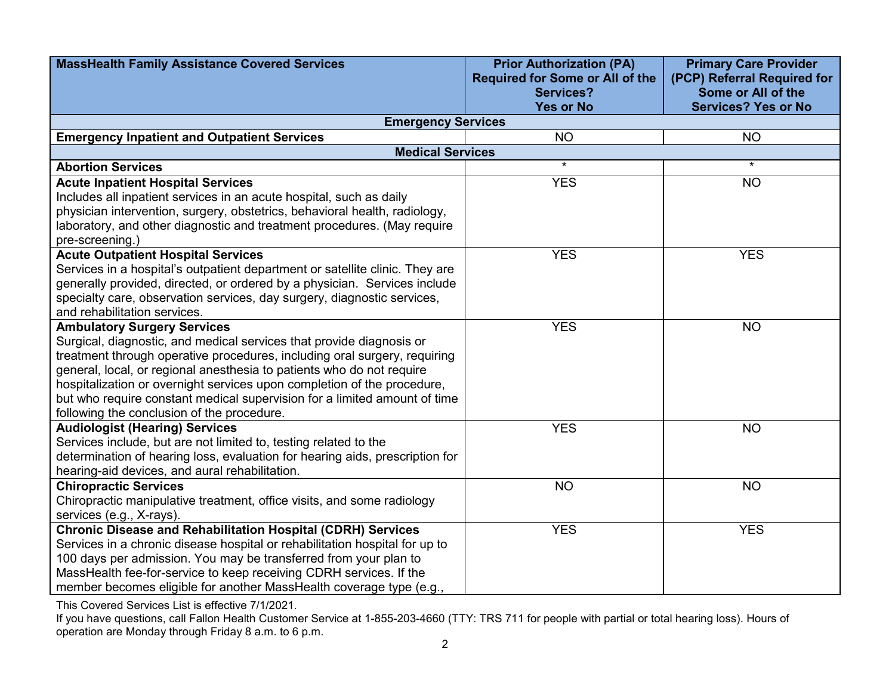| <b>MassHealth Family Assistance Covered Services</b>                                           | <b>Prior Authorization (PA)</b><br><b>Required for Some or All of the</b> | <b>Primary Care Provider</b><br>(PCP) Referral Required for |
|------------------------------------------------------------------------------------------------|---------------------------------------------------------------------------|-------------------------------------------------------------|
|                                                                                                | <b>Services?</b><br><b>Yes or No</b>                                      | Some or All of the<br><b>Services? Yes or No</b>            |
| <b>Emergency Services</b>                                                                      |                                                                           |                                                             |
| <b>Emergency Inpatient and Outpatient Services</b>                                             | <b>NO</b>                                                                 | <b>NO</b>                                                   |
| <b>Medical Services</b>                                                                        |                                                                           |                                                             |
| <b>Abortion Services</b>                                                                       | $\star$                                                                   | $\star$                                                     |
| <b>Acute Inpatient Hospital Services</b>                                                       | <b>YES</b>                                                                | <b>NO</b>                                                   |
| Includes all inpatient services in an acute hospital, such as daily                            |                                                                           |                                                             |
| physician intervention, surgery, obstetrics, behavioral health, radiology,                     |                                                                           |                                                             |
| laboratory, and other diagnostic and treatment procedures. (May require                        |                                                                           |                                                             |
| pre-screening.)                                                                                |                                                                           |                                                             |
| <b>Acute Outpatient Hospital Services</b>                                                      | <b>YES</b>                                                                | <b>YES</b>                                                  |
| Services in a hospital's outpatient department or satellite clinic. They are                   |                                                                           |                                                             |
| generally provided, directed, or ordered by a physician. Services include                      |                                                                           |                                                             |
| specialty care, observation services, day surgery, diagnostic services,                        |                                                                           |                                                             |
| and rehabilitation services.                                                                   |                                                                           |                                                             |
| <b>Ambulatory Surgery Services</b>                                                             | <b>YES</b>                                                                | <b>NO</b>                                                   |
| Surgical, diagnostic, and medical services that provide diagnosis or                           |                                                                           |                                                             |
| treatment through operative procedures, including oral surgery, requiring                      |                                                                           |                                                             |
| general, local, or regional anesthesia to patients who do not require                          |                                                                           |                                                             |
| hospitalization or overnight services upon completion of the procedure,                        |                                                                           |                                                             |
| but who require constant medical supervision for a limited amount of time                      |                                                                           |                                                             |
| following the conclusion of the procedure.                                                     |                                                                           |                                                             |
| <b>Audiologist (Hearing) Services</b>                                                          | <b>YES</b>                                                                | <b>NO</b>                                                   |
| Services include, but are not limited to, testing related to the                               |                                                                           |                                                             |
| determination of hearing loss, evaluation for hearing aids, prescription for                   |                                                                           |                                                             |
| hearing-aid devices, and aural rehabilitation.                                                 |                                                                           |                                                             |
| <b>Chiropractic Services</b>                                                                   | <b>NO</b>                                                                 | <b>NO</b>                                                   |
| Chiropractic manipulative treatment, office visits, and some radiology                         |                                                                           |                                                             |
| services (e.g., X-rays).<br><b>Chronic Disease and Rehabilitation Hospital (CDRH) Services</b> | <b>YES</b>                                                                | <b>YES</b>                                                  |
| Services in a chronic disease hospital or rehabilitation hospital for up to                    |                                                                           |                                                             |
| 100 days per admission. You may be transferred from your plan to                               |                                                                           |                                                             |
| MassHealth fee-for-service to keep receiving CDRH services. If the                             |                                                                           |                                                             |
| member becomes eligible for another MassHealth coverage type (e.g.,                            |                                                                           |                                                             |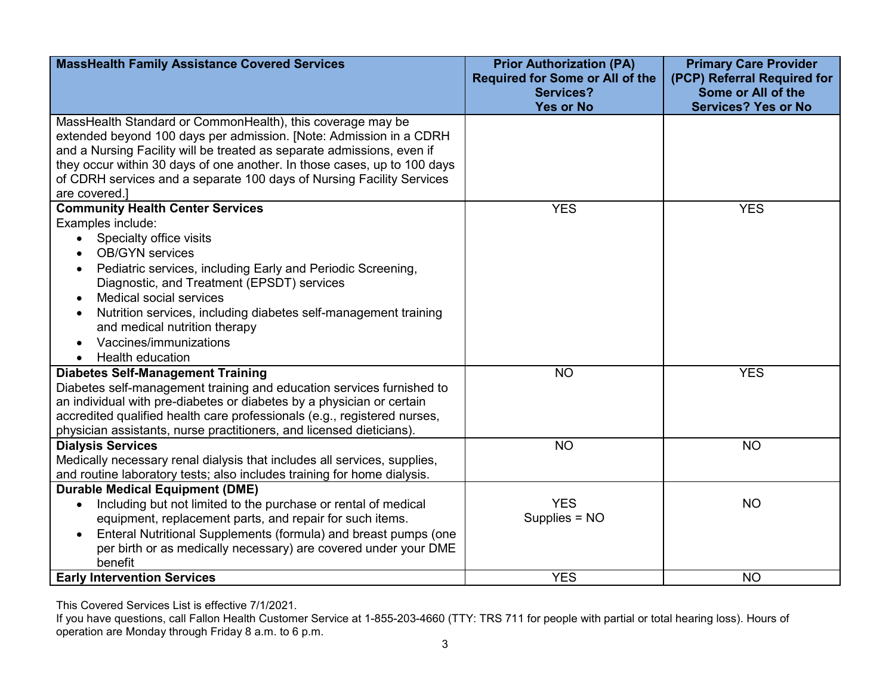| <b>MassHealth Family Assistance Covered Services</b>                                                                                                                                                                                                                                                                                                                                                                                                         | <b>Prior Authorization (PA)</b><br><b>Required for Some or All of the</b><br><b>Services?</b> | <b>Primary Care Provider</b><br>(PCP) Referral Required for<br>Some or All of the |
|--------------------------------------------------------------------------------------------------------------------------------------------------------------------------------------------------------------------------------------------------------------------------------------------------------------------------------------------------------------------------------------------------------------------------------------------------------------|-----------------------------------------------------------------------------------------------|-----------------------------------------------------------------------------------|
|                                                                                                                                                                                                                                                                                                                                                                                                                                                              | <b>Yes or No</b>                                                                              | <b>Services? Yes or No</b>                                                        |
| MassHealth Standard or CommonHealth), this coverage may be<br>extended beyond 100 days per admission. [Note: Admission in a CDRH<br>and a Nursing Facility will be treated as separate admissions, even if<br>they occur within 30 days of one another. In those cases, up to 100 days<br>of CDRH services and a separate 100 days of Nursing Facility Services<br>are covered.]                                                                             |                                                                                               |                                                                                   |
| <b>Community Health Center Services</b>                                                                                                                                                                                                                                                                                                                                                                                                                      | <b>YES</b>                                                                                    | <b>YES</b>                                                                        |
| Examples include:<br>Specialty office visits<br>$\bullet$<br><b>OB/GYN</b> services<br>$\bullet$<br>Pediatric services, including Early and Periodic Screening,<br>$\bullet$<br>Diagnostic, and Treatment (EPSDT) services<br><b>Medical social services</b><br>$\bullet$<br>Nutrition services, including diabetes self-management training<br>and medical nutrition therapy<br>Vaccines/immunizations<br>$\bullet$<br><b>Health education</b><br>$\bullet$ |                                                                                               |                                                                                   |
| <b>Diabetes Self-Management Training</b><br>Diabetes self-management training and education services furnished to<br>an individual with pre-diabetes or diabetes by a physician or certain<br>accredited qualified health care professionals (e.g., registered nurses,<br>physician assistants, nurse practitioners, and licensed dieticians).                                                                                                               | <b>NO</b>                                                                                     | <b>YES</b>                                                                        |
| <b>Dialysis Services</b><br>Medically necessary renal dialysis that includes all services, supplies,<br>and routine laboratory tests; also includes training for home dialysis.                                                                                                                                                                                                                                                                              | <b>NO</b>                                                                                     | <b>NO</b>                                                                         |
| <b>Durable Medical Equipment (DME)</b><br>Including but not limited to the purchase or rental of medical<br>$\bullet$<br>equipment, replacement parts, and repair for such items.<br>Enteral Nutritional Supplements (formula) and breast pumps (one<br>$\bullet$<br>per birth or as medically necessary) are covered under your DME<br>benefit                                                                                                              | <b>YES</b><br>Supplies = NO                                                                   | <b>NO</b>                                                                         |
| <b>Early Intervention Services</b>                                                                                                                                                                                                                                                                                                                                                                                                                           | <b>YES</b>                                                                                    | <b>NO</b>                                                                         |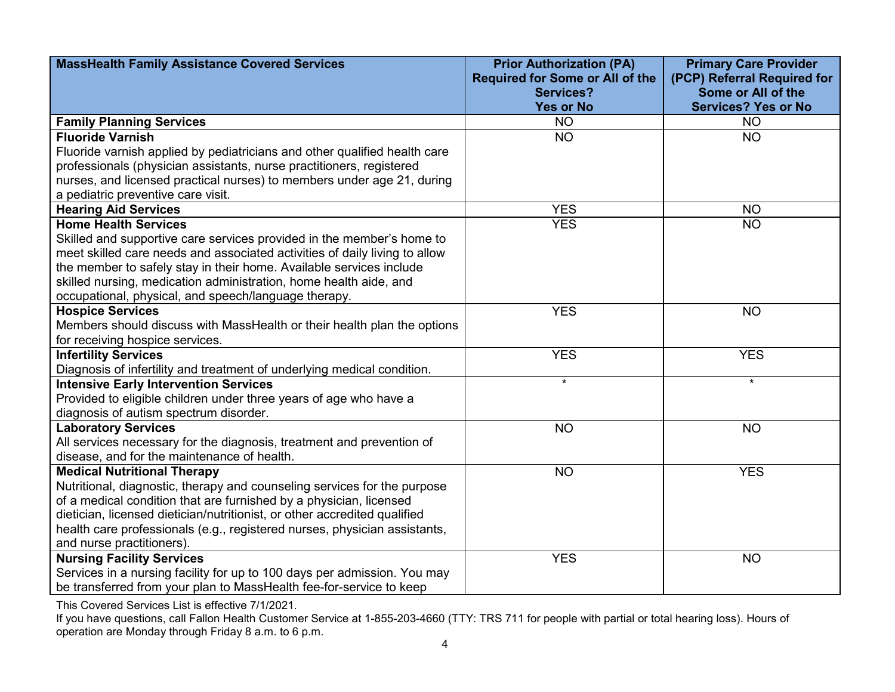| <b>MassHealth Family Assistance Covered Services</b>                       | <b>Prior Authorization (PA)</b>        | <b>Primary Care Provider</b> |
|----------------------------------------------------------------------------|----------------------------------------|------------------------------|
|                                                                            | <b>Required for Some or All of the</b> | (PCP) Referral Required for  |
|                                                                            | <b>Services?</b>                       | Some or All of the           |
|                                                                            | <b>Yes or No</b>                       | <b>Services? Yes or No</b>   |
| <b>Family Planning Services</b>                                            | <b>NO</b>                              | <b>NO</b>                    |
| <b>Fluoride Varnish</b>                                                    | <b>NO</b>                              | <b>NO</b>                    |
| Fluoride varnish applied by pediatricians and other qualified health care  |                                        |                              |
| professionals (physician assistants, nurse practitioners, registered       |                                        |                              |
| nurses, and licensed practical nurses) to members under age 21, during     |                                        |                              |
| a pediatric preventive care visit.                                         |                                        |                              |
| <b>Hearing Aid Services</b>                                                | <b>YES</b>                             | <b>NO</b>                    |
| <b>Home Health Services</b>                                                | <b>YES</b>                             | <b>NO</b>                    |
| Skilled and supportive care services provided in the member's home to      |                                        |                              |
| meet skilled care needs and associated activities of daily living to allow |                                        |                              |
| the member to safely stay in their home. Available services include        |                                        |                              |
| skilled nursing, medication administration, home health aide, and          |                                        |                              |
| occupational, physical, and speech/language therapy.                       |                                        |                              |
| <b>Hospice Services</b>                                                    | <b>YES</b>                             | <b>NO</b>                    |
| Members should discuss with MassHealth or their health plan the options    |                                        |                              |
| for receiving hospice services.                                            |                                        |                              |
| <b>Infertility Services</b>                                                | <b>YES</b>                             | <b>YES</b>                   |
| Diagnosis of infertility and treatment of underlying medical condition.    |                                        |                              |
| <b>Intensive Early Intervention Services</b>                               | $\star$                                | $\star$                      |
| Provided to eligible children under three years of age who have a          |                                        |                              |
| diagnosis of autism spectrum disorder.                                     |                                        |                              |
| <b>Laboratory Services</b>                                                 | <b>NO</b>                              | <b>NO</b>                    |
| All services necessary for the diagnosis, treatment and prevention of      |                                        |                              |
| disease, and for the maintenance of health.                                |                                        |                              |
| <b>Medical Nutritional Therapy</b>                                         | <b>NO</b>                              | <b>YES</b>                   |
| Nutritional, diagnostic, therapy and counseling services for the purpose   |                                        |                              |
| of a medical condition that are furnished by a physician, licensed         |                                        |                              |
| dietician, licensed dietician/nutritionist, or other accredited qualified  |                                        |                              |
| health care professionals (e.g., registered nurses, physician assistants,  |                                        |                              |
| and nurse practitioners).                                                  |                                        |                              |
| <b>Nursing Facility Services</b>                                           | <b>YES</b>                             | <b>NO</b>                    |
| Services in a nursing facility for up to 100 days per admission. You may   |                                        |                              |
| be transferred from your plan to MassHealth fee-for-service to keep        |                                        |                              |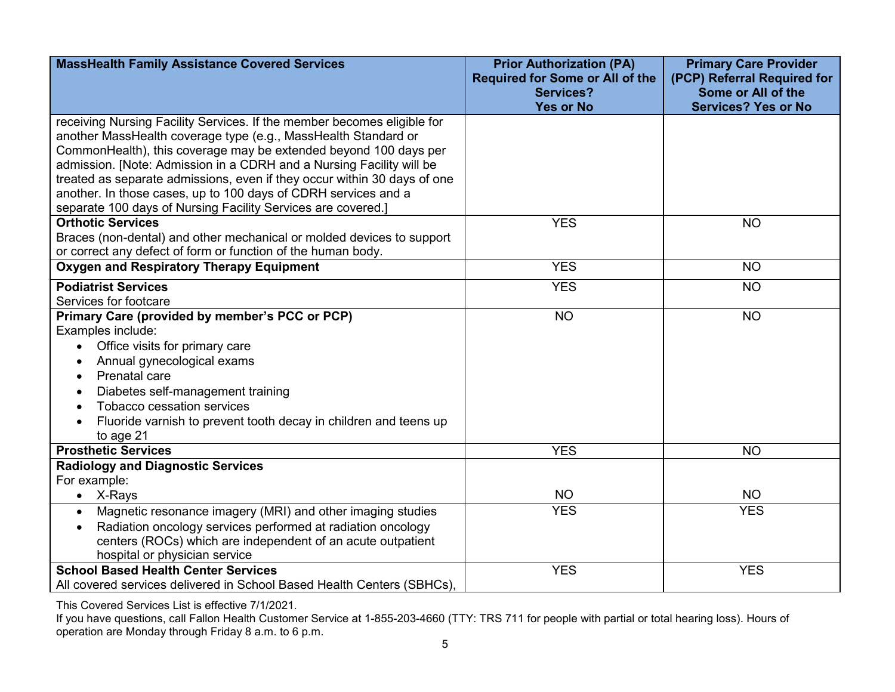| <b>MassHealth Family Assistance Covered Services</b>                          | <b>Prior Authorization (PA)</b><br><b>Required for Some or All of the</b> | <b>Primary Care Provider</b><br>(PCP) Referral Required for |
|-------------------------------------------------------------------------------|---------------------------------------------------------------------------|-------------------------------------------------------------|
|                                                                               | <b>Services?</b>                                                          | Some or All of the                                          |
|                                                                               | <b>Yes or No</b>                                                          | <b>Services? Yes or No</b>                                  |
| receiving Nursing Facility Services. If the member becomes eligible for       |                                                                           |                                                             |
| another MassHealth coverage type (e.g., MassHealth Standard or                |                                                                           |                                                             |
| CommonHealth), this coverage may be extended beyond 100 days per              |                                                                           |                                                             |
| admission. [Note: Admission in a CDRH and a Nursing Facility will be          |                                                                           |                                                             |
| treated as separate admissions, even if they occur within 30 days of one      |                                                                           |                                                             |
| another. In those cases, up to 100 days of CDRH services and a                |                                                                           |                                                             |
| separate 100 days of Nursing Facility Services are covered.]                  |                                                                           |                                                             |
| <b>Orthotic Services</b>                                                      | <b>YES</b>                                                                | <b>NO</b>                                                   |
| Braces (non-dental) and other mechanical or molded devices to support         |                                                                           |                                                             |
| or correct any defect of form or function of the human body.                  |                                                                           |                                                             |
| <b>Oxygen and Respiratory Therapy Equipment</b>                               | <b>YES</b>                                                                | <b>NO</b>                                                   |
| <b>Podiatrist Services</b>                                                    | <b>YES</b>                                                                | <b>NO</b>                                                   |
| Services for footcare                                                         |                                                                           |                                                             |
| Primary Care (provided by member's PCC or PCP)                                | <b>NO</b>                                                                 | <b>NO</b>                                                   |
| Examples include:                                                             |                                                                           |                                                             |
| Office visits for primary care<br>$\bullet$                                   |                                                                           |                                                             |
| Annual gynecological exams                                                    |                                                                           |                                                             |
| Prenatal care<br>$\bullet$                                                    |                                                                           |                                                             |
| Diabetes self-management training                                             |                                                                           |                                                             |
| Tobacco cessation services                                                    |                                                                           |                                                             |
| Fluoride varnish to prevent tooth decay in children and teens up<br>$\bullet$ |                                                                           |                                                             |
| to age 21                                                                     |                                                                           |                                                             |
| <b>Prosthetic Services</b>                                                    | <b>YES</b>                                                                | <b>NO</b>                                                   |
| <b>Radiology and Diagnostic Services</b>                                      |                                                                           |                                                             |
| For example:                                                                  |                                                                           |                                                             |
| • $X-Rays$                                                                    | <b>NO</b>                                                                 | <b>NO</b>                                                   |
| Magnetic resonance imagery (MRI) and other imaging studies<br>$\bullet$       | <b>YES</b>                                                                | <b>YES</b>                                                  |
| Radiation oncology services performed at radiation oncology                   |                                                                           |                                                             |
| centers (ROCs) which are independent of an acute outpatient                   |                                                                           |                                                             |
| hospital or physician service                                                 |                                                                           |                                                             |
| <b>School Based Health Center Services</b>                                    | <b>YES</b>                                                                | <b>YES</b>                                                  |
| All covered services delivered in School Based Health Centers (SBHCs),        |                                                                           |                                                             |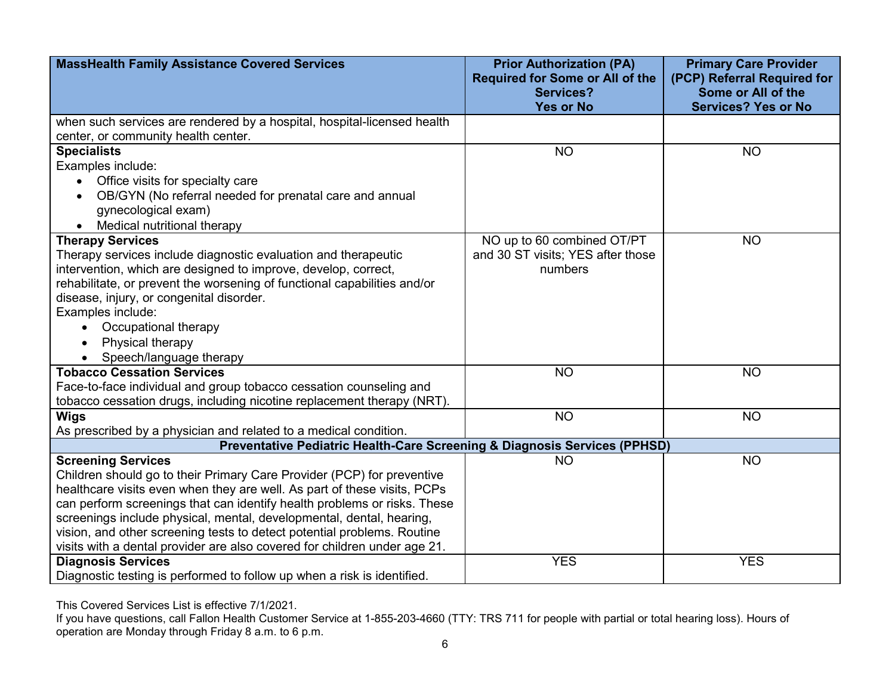| <b>MassHealth Family Assistance Covered Services</b>                      | <b>Prior Authorization (PA)</b><br><b>Required for Some or All of the</b> | <b>Primary Care Provider</b><br>(PCP) Referral Required for |
|---------------------------------------------------------------------------|---------------------------------------------------------------------------|-------------------------------------------------------------|
|                                                                           | <b>Services?</b>                                                          | Some or All of the                                          |
|                                                                           | <b>Yes or No</b>                                                          | <b>Services? Yes or No</b>                                  |
| when such services are rendered by a hospital, hospital-licensed health   |                                                                           |                                                             |
| center, or community health center.                                       |                                                                           |                                                             |
| <b>Specialists</b>                                                        | <b>NO</b>                                                                 | <b>NO</b>                                                   |
| Examples include:                                                         |                                                                           |                                                             |
| Office visits for specialty care                                          |                                                                           |                                                             |
| OB/GYN (No referral needed for prenatal care and annual                   |                                                                           |                                                             |
| gynecological exam)                                                       |                                                                           |                                                             |
| Medical nutritional therapy                                               |                                                                           |                                                             |
| <b>Therapy Services</b>                                                   | NO up to 60 combined OT/PT                                                | <b>NO</b>                                                   |
| Therapy services include diagnostic evaluation and therapeutic            | and 30 ST visits; YES after those                                         |                                                             |
| intervention, which are designed to improve, develop, correct,            | numbers                                                                   |                                                             |
| rehabilitate, or prevent the worsening of functional capabilities and/or  |                                                                           |                                                             |
| disease, injury, or congenital disorder.                                  |                                                                           |                                                             |
| Examples include:                                                         |                                                                           |                                                             |
| Occupational therapy                                                      |                                                                           |                                                             |
| Physical therapy                                                          |                                                                           |                                                             |
| Speech/language therapy                                                   |                                                                           |                                                             |
| <b>Tobacco Cessation Services</b>                                         | <b>NO</b>                                                                 | <b>NO</b>                                                   |
| Face-to-face individual and group tobacco cessation counseling and        |                                                                           |                                                             |
| tobacco cessation drugs, including nicotine replacement therapy (NRT).    |                                                                           |                                                             |
| <b>Wigs</b>                                                               | <b>NO</b>                                                                 | <b>NO</b>                                                   |
| As prescribed by a physician and related to a medical condition.          |                                                                           |                                                             |
| Preventative Pediatric Health-Care Screening & Diagnosis Services (PPHSD) |                                                                           |                                                             |
| <b>Screening Services</b>                                                 | <b>NO</b>                                                                 | <b>NO</b>                                                   |
| Children should go to their Primary Care Provider (PCP) for preventive    |                                                                           |                                                             |
| healthcare visits even when they are well. As part of these visits, PCPs  |                                                                           |                                                             |
| can perform screenings that can identify health problems or risks. These  |                                                                           |                                                             |
| screenings include physical, mental, developmental, dental, hearing,      |                                                                           |                                                             |
| vision, and other screening tests to detect potential problems. Routine   |                                                                           |                                                             |
| visits with a dental provider are also covered for children under age 21. |                                                                           |                                                             |
| <b>Diagnosis Services</b>                                                 | <b>YES</b>                                                                | <b>YES</b>                                                  |
| Diagnostic testing is performed to follow up when a risk is identified.   |                                                                           |                                                             |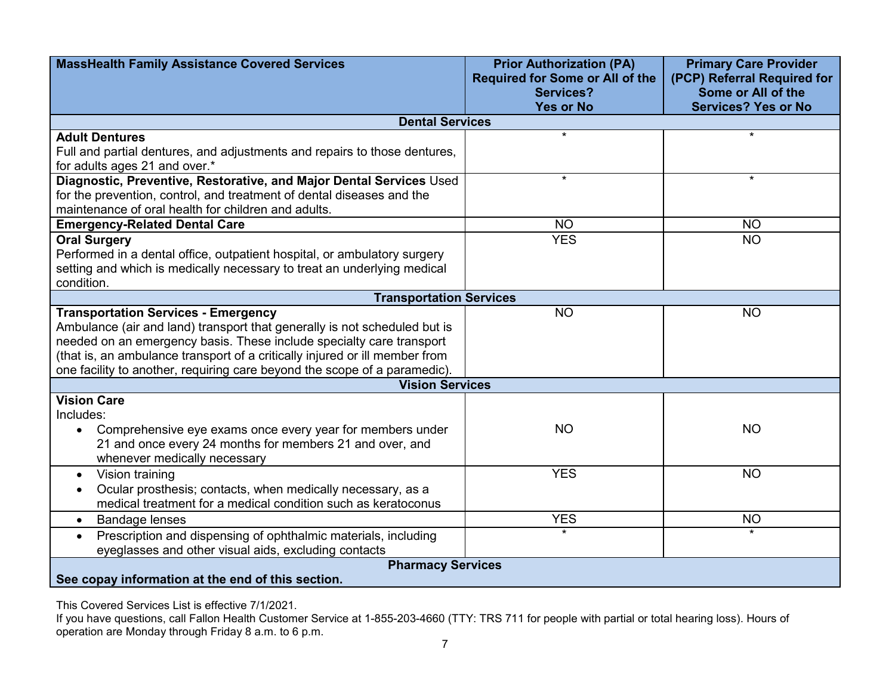| <b>MassHealth Family Assistance Covered Services</b>                                                                                | <b>Prior Authorization (PA)</b><br><b>Required for Some or All of the</b> | <b>Primary Care Provider</b><br>(PCP) Referral Required for |
|-------------------------------------------------------------------------------------------------------------------------------------|---------------------------------------------------------------------------|-------------------------------------------------------------|
|                                                                                                                                     | <b>Services?</b>                                                          | Some or All of the                                          |
|                                                                                                                                     | <b>Yes or No</b>                                                          | <b>Services? Yes or No</b>                                  |
| <b>Dental Services</b>                                                                                                              |                                                                           |                                                             |
| <b>Adult Dentures</b>                                                                                                               | $\star$                                                                   | $\star$                                                     |
| Full and partial dentures, and adjustments and repairs to those dentures,<br>for adults ages 21 and over.*                          |                                                                           |                                                             |
| Diagnostic, Preventive, Restorative, and Major Dental Services Used                                                                 | $\star$                                                                   | $\star$                                                     |
| for the prevention, control, and treatment of dental diseases and the                                                               |                                                                           |                                                             |
| maintenance of oral health for children and adults.                                                                                 |                                                                           |                                                             |
| <b>Emergency-Related Dental Care</b>                                                                                                | <b>NO</b>                                                                 | <b>NO</b>                                                   |
| <b>Oral Surgery</b>                                                                                                                 | <b>YES</b>                                                                | <b>NO</b>                                                   |
| Performed in a dental office, outpatient hospital, or ambulatory surgery                                                            |                                                                           |                                                             |
| setting and which is medically necessary to treat an underlying medical                                                             |                                                                           |                                                             |
| condition.                                                                                                                          |                                                                           |                                                             |
| <b>Transportation Services</b>                                                                                                      |                                                                           |                                                             |
| <b>Transportation Services - Emergency</b>                                                                                          | <b>NO</b>                                                                 | <b>NO</b>                                                   |
| Ambulance (air and land) transport that generally is not scheduled but is                                                           |                                                                           |                                                             |
| needed on an emergency basis. These include specialty care transport                                                                |                                                                           |                                                             |
| (that is, an ambulance transport of a critically injured or ill member from                                                         |                                                                           |                                                             |
| one facility to another, requiring care beyond the scope of a paramedic)                                                            |                                                                           |                                                             |
| <b>Vision Services</b><br><b>Vision Care</b>                                                                                        |                                                                           |                                                             |
| Includes:                                                                                                                           |                                                                           |                                                             |
|                                                                                                                                     | <b>NO</b>                                                                 | <b>NO</b>                                                   |
| Comprehensive eye exams once every year for members under<br>$\bullet$                                                              |                                                                           |                                                             |
| 21 and once every 24 months for members 21 and over, and<br>whenever medically necessary                                            |                                                                           |                                                             |
| Vision training                                                                                                                     | <b>YES</b>                                                                | <b>NO</b>                                                   |
| $\bullet$                                                                                                                           |                                                                           |                                                             |
| Ocular prosthesis; contacts, when medically necessary, as a<br>medical treatment for a medical condition such as keratoconus        |                                                                           |                                                             |
|                                                                                                                                     | <b>YES</b>                                                                | <b>NO</b>                                                   |
| <b>Bandage lenses</b><br>$\bullet$                                                                                                  | $\star$                                                                   | $\star$                                                     |
| Prescription and dispensing of ophthalmic materials, including<br>$\bullet$<br>eyeglasses and other visual aids, excluding contacts |                                                                           |                                                             |
| <b>Pharmacy Services</b>                                                                                                            |                                                                           |                                                             |
| See copay information at the end of this section.                                                                                   |                                                                           |                                                             |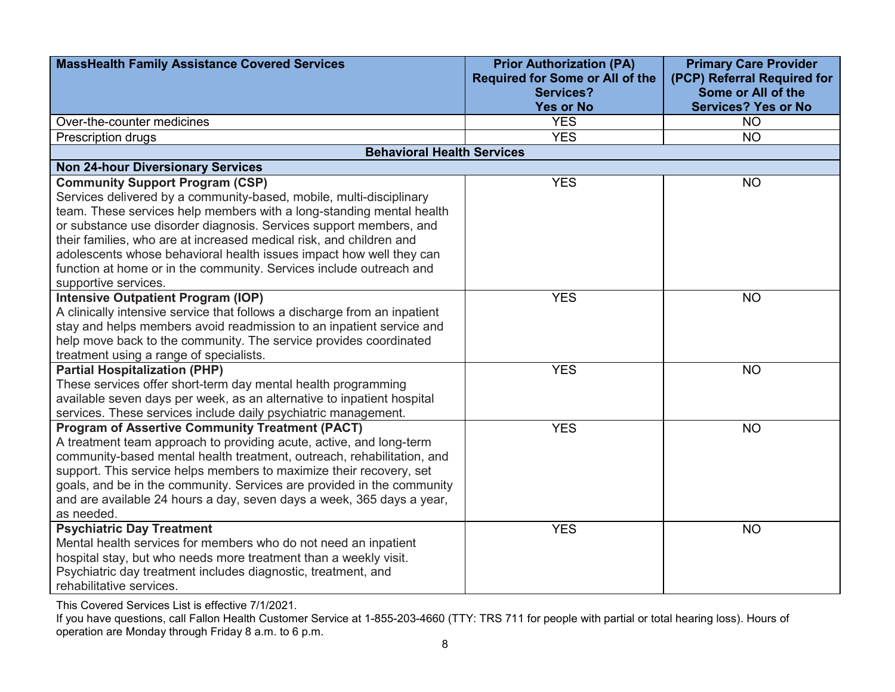| <b>MassHealth Family Assistance Covered Services</b>                      | <b>Prior Authorization (PA)</b><br><b>Required for Some or All of the</b> | <b>Primary Care Provider</b><br>(PCP) Referral Required for |
|---------------------------------------------------------------------------|---------------------------------------------------------------------------|-------------------------------------------------------------|
|                                                                           | <b>Services?</b>                                                          | Some or All of the                                          |
|                                                                           | <b>Yes or No</b>                                                          | <b>Services? Yes or No</b>                                  |
| Over-the-counter medicines                                                | <b>YES</b>                                                                | <b>NO</b>                                                   |
| Prescription drugs                                                        | <b>YES</b>                                                                | <b>NO</b>                                                   |
| <b>Behavioral Health Services</b>                                         |                                                                           |                                                             |
| <b>Non 24-hour Diversionary Services</b>                                  |                                                                           |                                                             |
| <b>Community Support Program (CSP)</b>                                    | <b>YES</b>                                                                | <b>NO</b>                                                   |
| Services delivered by a community-based, mobile, multi-disciplinary       |                                                                           |                                                             |
| team. These services help members with a long-standing mental health      |                                                                           |                                                             |
| or substance use disorder diagnosis. Services support members, and        |                                                                           |                                                             |
| their families, who are at increased medical risk, and children and       |                                                                           |                                                             |
| adolescents whose behavioral health issues impact how well they can       |                                                                           |                                                             |
| function at home or in the community. Services include outreach and       |                                                                           |                                                             |
| supportive services.                                                      |                                                                           |                                                             |
| <b>Intensive Outpatient Program (IOP)</b>                                 | <b>YES</b>                                                                | <b>NO</b>                                                   |
| A clinically intensive service that follows a discharge from an inpatient |                                                                           |                                                             |
| stay and helps members avoid readmission to an inpatient service and      |                                                                           |                                                             |
| help move back to the community. The service provides coordinated         |                                                                           |                                                             |
| treatment using a range of specialists.                                   |                                                                           |                                                             |
| <b>Partial Hospitalization (PHP)</b>                                      | <b>YES</b>                                                                | <b>NO</b>                                                   |
| These services offer short-term day mental health programming             |                                                                           |                                                             |
| available seven days per week, as an alternative to inpatient hospital    |                                                                           |                                                             |
| services. These services include daily psychiatric management.            |                                                                           |                                                             |
| <b>Program of Assertive Community Treatment (PACT)</b>                    | <b>YES</b>                                                                | <b>NO</b>                                                   |
| A treatment team approach to providing acute, active, and long-term       |                                                                           |                                                             |
| community-based mental health treatment, outreach, rehabilitation, and    |                                                                           |                                                             |
| support. This service helps members to maximize their recovery, set       |                                                                           |                                                             |
| goals, and be in the community. Services are provided in the community    |                                                                           |                                                             |
| and are available 24 hours a day, seven days a week, 365 days a year,     |                                                                           |                                                             |
| as needed.                                                                |                                                                           |                                                             |
| <b>Psychiatric Day Treatment</b>                                          | <b>YES</b>                                                                | <b>NO</b>                                                   |
| Mental health services for members who do not need an inpatient           |                                                                           |                                                             |
| hospital stay, but who needs more treatment than a weekly visit.          |                                                                           |                                                             |
| Psychiatric day treatment includes diagnostic, treatment, and             |                                                                           |                                                             |
| rehabilitative services.                                                  |                                                                           |                                                             |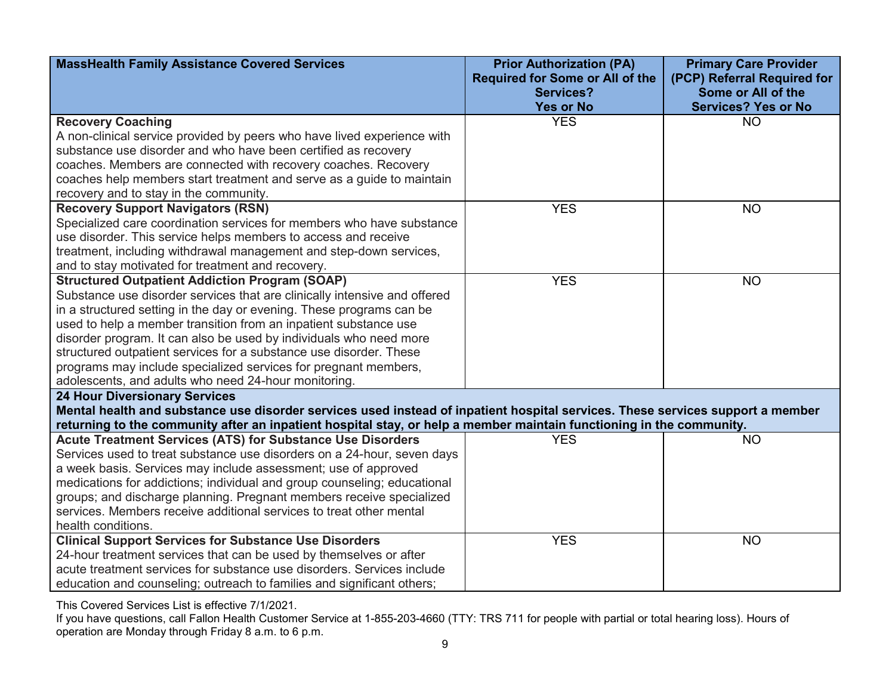| <b>MassHealth Family Assistance Covered Services</b>                                                                           | <b>Prior Authorization (PA)</b><br><b>Required for Some or All of the</b> | <b>Primary Care Provider</b><br>(PCP) Referral Required for |
|--------------------------------------------------------------------------------------------------------------------------------|---------------------------------------------------------------------------|-------------------------------------------------------------|
|                                                                                                                                | <b>Services?</b>                                                          | Some or All of the                                          |
|                                                                                                                                | <b>Yes or No</b>                                                          | <b>Services? Yes or No</b>                                  |
| <b>Recovery Coaching</b>                                                                                                       | <b>YES</b>                                                                | <b>NO</b>                                                   |
| A non-clinical service provided by peers who have lived experience with                                                        |                                                                           |                                                             |
| substance use disorder and who have been certified as recovery                                                                 |                                                                           |                                                             |
| coaches. Members are connected with recovery coaches. Recovery                                                                 |                                                                           |                                                             |
| coaches help members start treatment and serve as a guide to maintain                                                          |                                                                           |                                                             |
| recovery and to stay in the community.                                                                                         |                                                                           |                                                             |
| <b>Recovery Support Navigators (RSN)</b>                                                                                       | <b>YES</b>                                                                | <b>NO</b>                                                   |
| Specialized care coordination services for members who have substance                                                          |                                                                           |                                                             |
| use disorder. This service helps members to access and receive                                                                 |                                                                           |                                                             |
| treatment, including withdrawal management and step-down services,                                                             |                                                                           |                                                             |
| and to stay motivated for treatment and recovery.                                                                              |                                                                           |                                                             |
| <b>Structured Outpatient Addiction Program (SOAP)</b>                                                                          | <b>YES</b>                                                                | <b>NO</b>                                                   |
| Substance use disorder services that are clinically intensive and offered                                                      |                                                                           |                                                             |
| in a structured setting in the day or evening. These programs can be                                                           |                                                                           |                                                             |
| used to help a member transition from an inpatient substance use                                                               |                                                                           |                                                             |
| disorder program. It can also be used by individuals who need more                                                             |                                                                           |                                                             |
| structured outpatient services for a substance use disorder. These                                                             |                                                                           |                                                             |
| programs may include specialized services for pregnant members,                                                                |                                                                           |                                                             |
| adolescents, and adults who need 24-hour monitoring.                                                                           |                                                                           |                                                             |
| <b>24 Hour Diversionary Services</b>                                                                                           |                                                                           |                                                             |
| Mental health and substance use disorder services used instead of inpatient hospital services. These services support a member |                                                                           |                                                             |
| returning to the community after an inpatient hospital stay, or help a member maintain functioning in the community.           |                                                                           |                                                             |
| <b>Acute Treatment Services (ATS) for Substance Use Disorders</b>                                                              | <b>YES</b>                                                                | <b>NO</b>                                                   |
| Services used to treat substance use disorders on a 24-hour, seven days                                                        |                                                                           |                                                             |
| a week basis. Services may include assessment; use of approved                                                                 |                                                                           |                                                             |
| medications for addictions; individual and group counseling; educational                                                       |                                                                           |                                                             |
| groups; and discharge planning. Pregnant members receive specialized                                                           |                                                                           |                                                             |
| services. Members receive additional services to treat other mental                                                            |                                                                           |                                                             |
| health conditions.                                                                                                             |                                                                           |                                                             |
| <b>Clinical Support Services for Substance Use Disorders</b>                                                                   | <b>YES</b>                                                                | <b>NO</b>                                                   |
| 24-hour treatment services that can be used by themselves or after                                                             |                                                                           |                                                             |
| acute treatment services for substance use disorders. Services include                                                         |                                                                           |                                                             |
| education and counseling; outreach to families and significant others;                                                         |                                                                           |                                                             |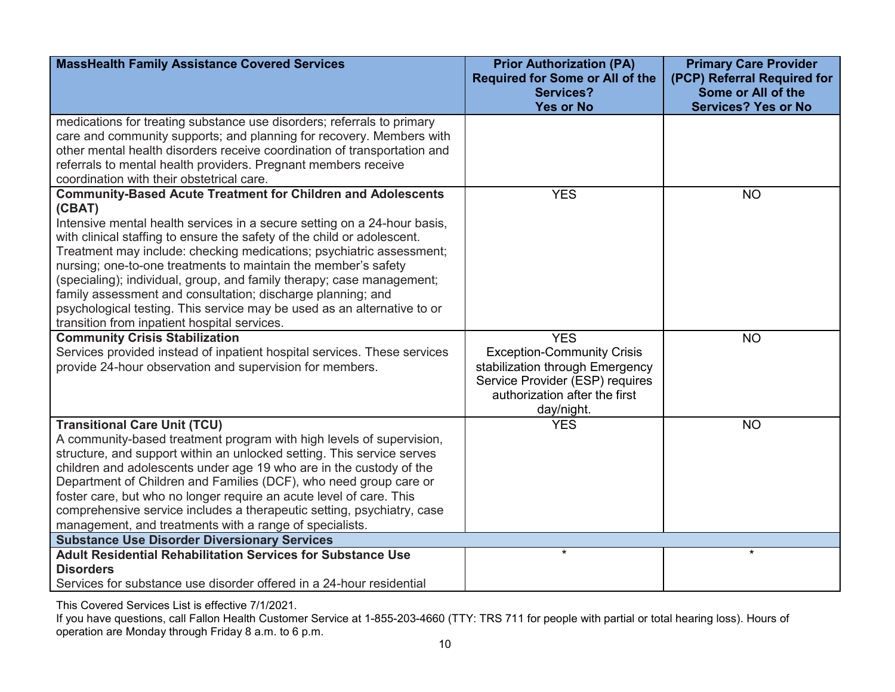| <b>MassHealth Family Assistance Covered Services</b>                                                                                                                                                                                                                                                                                                                                                                                                                                                                                                                                                                                              | <b>Prior Authorization (PA)</b><br><b>Required for Some or All of the</b><br><b>Services?</b>                                                                        | <b>Primary Care Provider</b><br>(PCP) Referral Required for<br>Some or All of the |
|---------------------------------------------------------------------------------------------------------------------------------------------------------------------------------------------------------------------------------------------------------------------------------------------------------------------------------------------------------------------------------------------------------------------------------------------------------------------------------------------------------------------------------------------------------------------------------------------------------------------------------------------------|----------------------------------------------------------------------------------------------------------------------------------------------------------------------|-----------------------------------------------------------------------------------|
|                                                                                                                                                                                                                                                                                                                                                                                                                                                                                                                                                                                                                                                   | <b>Yes or No</b>                                                                                                                                                     | <b>Services? Yes or No</b>                                                        |
| medications for treating substance use disorders; referrals to primary<br>care and community supports; and planning for recovery. Members with<br>other mental health disorders receive coordination of transportation and<br>referrals to mental health providers. Pregnant members receive<br>coordination with their obstetrical care.                                                                                                                                                                                                                                                                                                         |                                                                                                                                                                      |                                                                                   |
| <b>Community-Based Acute Treatment for Children and Adolescents</b><br>(CBAT)<br>Intensive mental health services in a secure setting on a 24-hour basis,<br>with clinical staffing to ensure the safety of the child or adolescent.<br>Treatment may include: checking medications; psychiatric assessment;<br>nursing; one-to-one treatments to maintain the member's safety<br>(specialing); individual, group, and family therapy; case management;<br>family assessment and consultation; discharge planning; and<br>psychological testing. This service may be used as an alternative to or<br>transition from inpatient hospital services. | <b>YES</b>                                                                                                                                                           | <b>NO</b>                                                                         |
| <b>Community Crisis Stabilization</b><br>Services provided instead of inpatient hospital services. These services<br>provide 24-hour observation and supervision for members.                                                                                                                                                                                                                                                                                                                                                                                                                                                                     | <b>YES</b><br><b>Exception-Community Crisis</b><br>stabilization through Emergency<br>Service Provider (ESP) requires<br>authorization after the first<br>day/night. | <b>NO</b>                                                                         |
| <b>Transitional Care Unit (TCU)</b><br>A community-based treatment program with high levels of supervision,<br>structure, and support within an unlocked setting. This service serves<br>children and adolescents under age 19 who are in the custody of the<br>Department of Children and Families (DCF), who need group care or<br>foster care, but who no longer require an acute level of care. This<br>comprehensive service includes a therapeutic setting, psychiatry, case<br>management, and treatments with a range of specialists.                                                                                                     | <b>YES</b>                                                                                                                                                           | <b>NO</b>                                                                         |
| <b>Substance Use Disorder Diversionary Services</b>                                                                                                                                                                                                                                                                                                                                                                                                                                                                                                                                                                                               | $\star$                                                                                                                                                              | $\star$                                                                           |
| <b>Adult Residential Rehabilitation Services for Substance Use</b><br><b>Disorders</b>                                                                                                                                                                                                                                                                                                                                                                                                                                                                                                                                                            |                                                                                                                                                                      |                                                                                   |
| Services for substance use disorder offered in a 24-hour residential                                                                                                                                                                                                                                                                                                                                                                                                                                                                                                                                                                              |                                                                                                                                                                      |                                                                                   |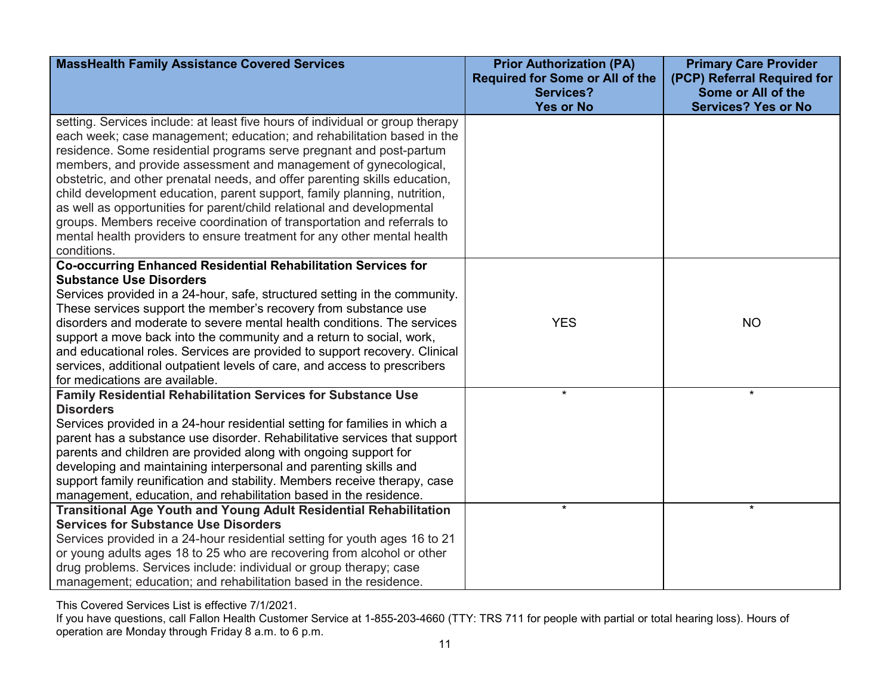| <b>MassHealth Family Assistance Covered Services</b>                                                                                                                                                                           | <b>Prior Authorization (PA)</b><br><b>Required for Some or All of the</b><br><b>Services?</b><br><b>Yes or No</b> | <b>Primary Care Provider</b><br>(PCP) Referral Required for<br>Some or All of the<br><b>Services? Yes or No</b> |
|--------------------------------------------------------------------------------------------------------------------------------------------------------------------------------------------------------------------------------|-------------------------------------------------------------------------------------------------------------------|-----------------------------------------------------------------------------------------------------------------|
| setting. Services include: at least five hours of individual or group therapy<br>each week; case management; education; and rehabilitation based in the<br>residence. Some residential programs serve pregnant and post-partum |                                                                                                                   |                                                                                                                 |
| members, and provide assessment and management of gynecological,<br>obstetric, and other prenatal needs, and offer parenting skills education,<br>child development education, parent support, family planning, nutrition,     |                                                                                                                   |                                                                                                                 |
| as well as opportunities for parent/child relational and developmental<br>groups. Members receive coordination of transportation and referrals to                                                                              |                                                                                                                   |                                                                                                                 |
| mental health providers to ensure treatment for any other mental health<br>conditions.                                                                                                                                         |                                                                                                                   |                                                                                                                 |
| Co-occurring Enhanced Residential Rehabilitation Services for<br><b>Substance Use Disorders</b>                                                                                                                                |                                                                                                                   |                                                                                                                 |
| Services provided in a 24-hour, safe, structured setting in the community.                                                                                                                                                     |                                                                                                                   |                                                                                                                 |
| These services support the member's recovery from substance use                                                                                                                                                                |                                                                                                                   |                                                                                                                 |
| disorders and moderate to severe mental health conditions. The services                                                                                                                                                        | <b>YES</b>                                                                                                        | <b>NO</b>                                                                                                       |
| support a move back into the community and a return to social, work,                                                                                                                                                           |                                                                                                                   |                                                                                                                 |
| and educational roles. Services are provided to support recovery. Clinical                                                                                                                                                     |                                                                                                                   |                                                                                                                 |
| services, additional outpatient levels of care, and access to prescribers<br>for medications are available.                                                                                                                    |                                                                                                                   |                                                                                                                 |
| Family Residential Rehabilitation Services for Substance Use                                                                                                                                                                   | $\star$                                                                                                           | $\star$                                                                                                         |
| <b>Disorders</b>                                                                                                                                                                                                               |                                                                                                                   |                                                                                                                 |
| Services provided in a 24-hour residential setting for families in which a                                                                                                                                                     |                                                                                                                   |                                                                                                                 |
| parent has a substance use disorder. Rehabilitative services that support                                                                                                                                                      |                                                                                                                   |                                                                                                                 |
| parents and children are provided along with ongoing support for                                                                                                                                                               |                                                                                                                   |                                                                                                                 |
| developing and maintaining interpersonal and parenting skills and                                                                                                                                                              |                                                                                                                   |                                                                                                                 |
| support family reunification and stability. Members receive therapy, case                                                                                                                                                      |                                                                                                                   |                                                                                                                 |
| management, education, and rehabilitation based in the residence.                                                                                                                                                              |                                                                                                                   |                                                                                                                 |
| <b>Transitional Age Youth and Young Adult Residential Rehabilitation</b>                                                                                                                                                       | $\star$                                                                                                           | $\star$                                                                                                         |
| <b>Services for Substance Use Disorders</b>                                                                                                                                                                                    |                                                                                                                   |                                                                                                                 |
| Services provided in a 24-hour residential setting for youth ages 16 to 21<br>or young adults ages 18 to 25 who are recovering from alcohol or other                                                                           |                                                                                                                   |                                                                                                                 |
| drug problems. Services include: individual or group therapy; case                                                                                                                                                             |                                                                                                                   |                                                                                                                 |
| management; education; and rehabilitation based in the residence.                                                                                                                                                              |                                                                                                                   |                                                                                                                 |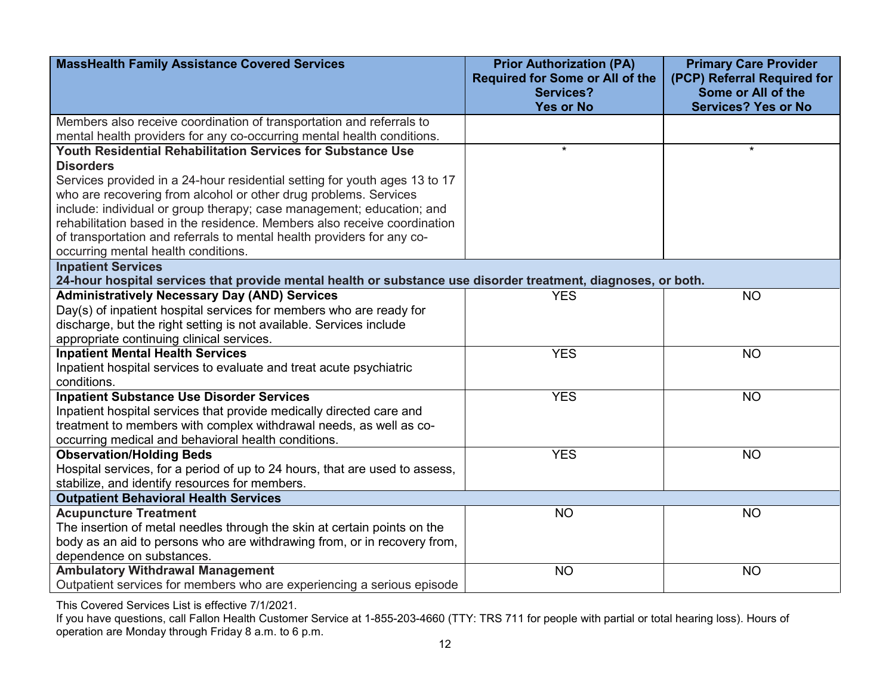| <b>MassHealth Family Assistance Covered Services</b>                                                          | <b>Prior Authorization (PA)</b><br><b>Required for Some or All of the</b> | <b>Primary Care Provider</b><br>(PCP) Referral Required for |
|---------------------------------------------------------------------------------------------------------------|---------------------------------------------------------------------------|-------------------------------------------------------------|
|                                                                                                               | <b>Services?</b>                                                          | Some or All of the                                          |
|                                                                                                               | <b>Yes or No</b>                                                          | <b>Services? Yes or No</b>                                  |
| Members also receive coordination of transportation and referrals to                                          |                                                                           |                                                             |
| mental health providers for any co-occurring mental health conditions.                                        |                                                                           |                                                             |
| <b>Youth Residential Rehabilitation Services for Substance Use</b>                                            | $\star$                                                                   | $\star$                                                     |
| <b>Disorders</b>                                                                                              |                                                                           |                                                             |
| Services provided in a 24-hour residential setting for youth ages 13 to 17                                    |                                                                           |                                                             |
| who are recovering from alcohol or other drug problems. Services                                              |                                                                           |                                                             |
| include: individual or group therapy; case management; education; and                                         |                                                                           |                                                             |
| rehabilitation based in the residence. Members also receive coordination                                      |                                                                           |                                                             |
| of transportation and referrals to mental health providers for any co-                                        |                                                                           |                                                             |
| occurring mental health conditions.                                                                           |                                                                           |                                                             |
| <b>Inpatient Services</b>                                                                                     |                                                                           |                                                             |
| 24-hour hospital services that provide mental health or substance use disorder treatment, diagnoses, or both. |                                                                           |                                                             |
| <b>Administratively Necessary Day (AND) Services</b>                                                          | <b>YES</b>                                                                | <b>NO</b>                                                   |
| Day(s) of inpatient hospital services for members who are ready for                                           |                                                                           |                                                             |
| discharge, but the right setting is not available. Services include                                           |                                                                           |                                                             |
| appropriate continuing clinical services.                                                                     |                                                                           |                                                             |
| <b>Inpatient Mental Health Services</b>                                                                       | <b>YES</b>                                                                | <b>NO</b>                                                   |
| Inpatient hospital services to evaluate and treat acute psychiatric                                           |                                                                           |                                                             |
| conditions.                                                                                                   |                                                                           |                                                             |
| <b>Inpatient Substance Use Disorder Services</b>                                                              | <b>YES</b>                                                                | <b>NO</b>                                                   |
| Inpatient hospital services that provide medically directed care and                                          |                                                                           |                                                             |
| treatment to members with complex withdrawal needs, as well as co-                                            |                                                                           |                                                             |
| occurring medical and behavioral health conditions.                                                           |                                                                           |                                                             |
| <b>Observation/Holding Beds</b>                                                                               | <b>YES</b>                                                                | <b>NO</b>                                                   |
| Hospital services, for a period of up to 24 hours, that are used to assess,                                   |                                                                           |                                                             |
| stabilize, and identify resources for members.                                                                |                                                                           |                                                             |
| <b>Outpatient Behavioral Health Services</b>                                                                  |                                                                           |                                                             |
| <b>Acupuncture Treatment</b>                                                                                  | <b>NO</b>                                                                 | <b>NO</b>                                                   |
| The insertion of metal needles through the skin at certain points on the                                      |                                                                           |                                                             |
| body as an aid to persons who are withdrawing from, or in recovery from,                                      |                                                                           |                                                             |
| dependence on substances.                                                                                     |                                                                           |                                                             |
| <b>Ambulatory Withdrawal Management</b>                                                                       | <b>NO</b>                                                                 | <b>NO</b>                                                   |
| Outpatient services for members who are experiencing a serious episode                                        |                                                                           |                                                             |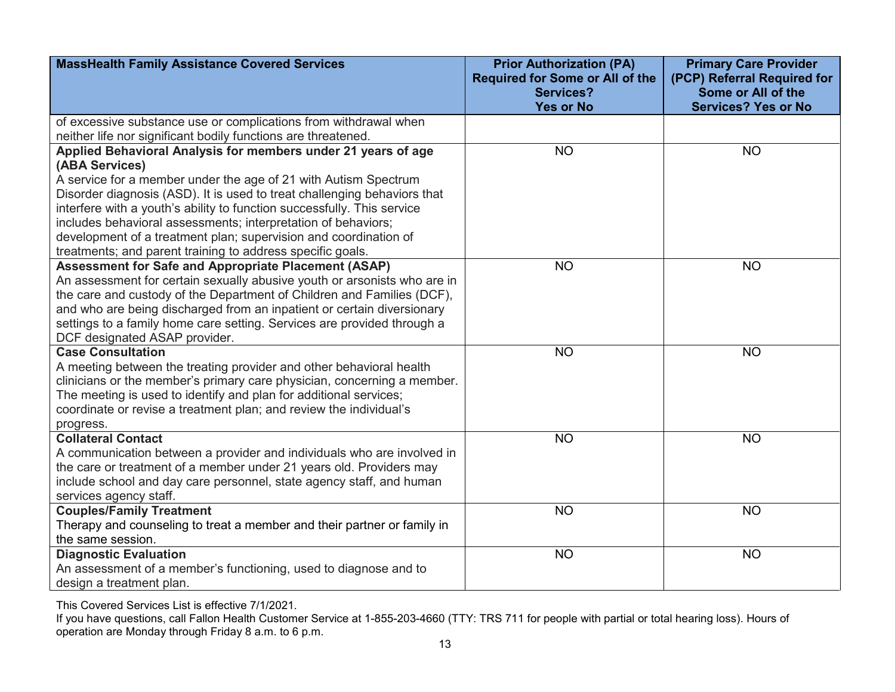| <b>MassHealth Family Assistance Covered Services</b>                            | <b>Prior Authorization (PA)</b><br><b>Required for Some or All of the</b><br><b>Services?</b> | <b>Primary Care Provider</b><br>(PCP) Referral Required for<br>Some or All of the |
|---------------------------------------------------------------------------------|-----------------------------------------------------------------------------------------------|-----------------------------------------------------------------------------------|
|                                                                                 | <b>Yes or No</b>                                                                              | <b>Services? Yes or No</b>                                                        |
| of excessive substance use or complications from withdrawal when                |                                                                                               |                                                                                   |
| neither life nor significant bodily functions are threatened.                   |                                                                                               |                                                                                   |
| Applied Behavioral Analysis for members under 21 years of age<br>(ABA Services) | <b>NO</b>                                                                                     | <b>NO</b>                                                                         |
| A service for a member under the age of 21 with Autism Spectrum                 |                                                                                               |                                                                                   |
| Disorder diagnosis (ASD). It is used to treat challenging behaviors that        |                                                                                               |                                                                                   |
| interfere with a youth's ability to function successfully. This service         |                                                                                               |                                                                                   |
| includes behavioral assessments; interpretation of behaviors;                   |                                                                                               |                                                                                   |
| development of a treatment plan; supervision and coordination of                |                                                                                               |                                                                                   |
| treatments; and parent training to address specific goals.                      |                                                                                               |                                                                                   |
| Assessment for Safe and Appropriate Placement (ASAP)                            | <b>NO</b>                                                                                     | <b>NO</b>                                                                         |
| An assessment for certain sexually abusive youth or arsonists who are in        |                                                                                               |                                                                                   |
| the care and custody of the Department of Children and Families (DCF),          |                                                                                               |                                                                                   |
| and who are being discharged from an inpatient or certain diversionary          |                                                                                               |                                                                                   |
| settings to a family home care setting. Services are provided through a         |                                                                                               |                                                                                   |
| DCF designated ASAP provider.                                                   |                                                                                               |                                                                                   |
| <b>Case Consultation</b>                                                        | <b>NO</b>                                                                                     | <b>NO</b>                                                                         |
| A meeting between the treating provider and other behavioral health             |                                                                                               |                                                                                   |
| clinicians or the member's primary care physician, concerning a member.         |                                                                                               |                                                                                   |
| The meeting is used to identify and plan for additional services;               |                                                                                               |                                                                                   |
| coordinate or revise a treatment plan; and review the individual's              |                                                                                               |                                                                                   |
| progress.                                                                       |                                                                                               |                                                                                   |
| <b>Collateral Contact</b>                                                       | <b>NO</b>                                                                                     | <b>NO</b>                                                                         |
| A communication between a provider and individuals who are involved in          |                                                                                               |                                                                                   |
| the care or treatment of a member under 21 years old. Providers may             |                                                                                               |                                                                                   |
| include school and day care personnel, state agency staff, and human            |                                                                                               |                                                                                   |
| services agency staff.                                                          |                                                                                               |                                                                                   |
| <b>Couples/Family Treatment</b>                                                 | <b>NO</b>                                                                                     | <b>NO</b>                                                                         |
| Therapy and counseling to treat a member and their partner or family in         |                                                                                               |                                                                                   |
| the same session.                                                               |                                                                                               |                                                                                   |
| <b>Diagnostic Evaluation</b>                                                    | <b>NO</b>                                                                                     | <b>NO</b>                                                                         |
| An assessment of a member's functioning, used to diagnose and to                |                                                                                               |                                                                                   |
| design a treatment plan.                                                        |                                                                                               |                                                                                   |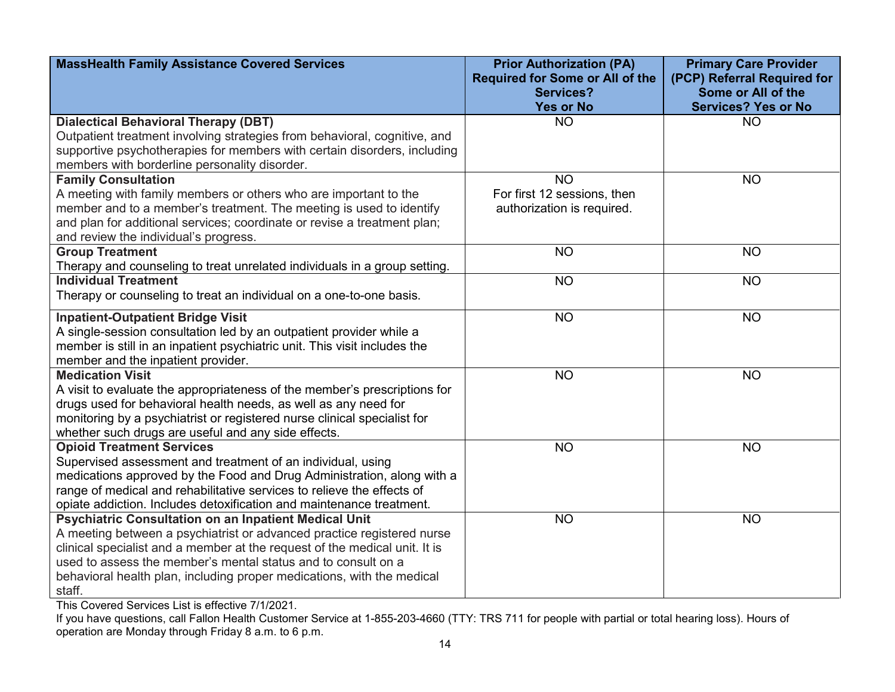| <b>MassHealth Family Assistance Covered Services</b>                       | <b>Prior Authorization (PA)</b><br><b>Required for Some or All of the</b><br><b>Services?</b> | <b>Primary Care Provider</b><br>(PCP) Referral Required for<br>Some or All of the |
|----------------------------------------------------------------------------|-----------------------------------------------------------------------------------------------|-----------------------------------------------------------------------------------|
|                                                                            | <b>Yes or No</b>                                                                              | <b>Services? Yes or No</b>                                                        |
| <b>Dialectical Behavioral Therapy (DBT)</b>                                | <b>NO</b>                                                                                     | <b>NO</b>                                                                         |
| Outpatient treatment involving strategies from behavioral, cognitive, and  |                                                                                               |                                                                                   |
| supportive psychotherapies for members with certain disorders, including   |                                                                                               |                                                                                   |
| members with borderline personality disorder.                              |                                                                                               |                                                                                   |
| <b>Family Consultation</b>                                                 | <b>NO</b>                                                                                     | <b>NO</b>                                                                         |
| A meeting with family members or others who are important to the           | For first 12 sessions, then                                                                   |                                                                                   |
| member and to a member's treatment. The meeting is used to identify        | authorization is required.                                                                    |                                                                                   |
| and plan for additional services; coordinate or revise a treatment plan;   |                                                                                               |                                                                                   |
| and review the individual's progress.                                      |                                                                                               |                                                                                   |
| <b>Group Treatment</b>                                                     | <b>NO</b>                                                                                     | <b>NO</b>                                                                         |
| Therapy and counseling to treat unrelated individuals in a group setting.  |                                                                                               |                                                                                   |
| <b>Individual Treatment</b>                                                | <b>NO</b>                                                                                     | <b>NO</b>                                                                         |
| Therapy or counseling to treat an individual on a one-to-one basis.        |                                                                                               |                                                                                   |
| <b>Inpatient-Outpatient Bridge Visit</b>                                   | <b>NO</b>                                                                                     | <b>NO</b>                                                                         |
| A single-session consultation led by an outpatient provider while a        |                                                                                               |                                                                                   |
| member is still in an inpatient psychiatric unit. This visit includes the  |                                                                                               |                                                                                   |
| member and the inpatient provider.                                         |                                                                                               |                                                                                   |
| <b>Medication Visit</b>                                                    | <b>NO</b>                                                                                     | <b>NO</b>                                                                         |
| A visit to evaluate the appropriateness of the member's prescriptions for  |                                                                                               |                                                                                   |
| drugs used for behavioral health needs, as well as any need for            |                                                                                               |                                                                                   |
| monitoring by a psychiatrist or registered nurse clinical specialist for   |                                                                                               |                                                                                   |
| whether such drugs are useful and any side effects.                        |                                                                                               |                                                                                   |
| <b>Opioid Treatment Services</b>                                           | <b>NO</b>                                                                                     | <b>NO</b>                                                                         |
| Supervised assessment and treatment of an individual, using                |                                                                                               |                                                                                   |
| medications approved by the Food and Drug Administration, along with a     |                                                                                               |                                                                                   |
| range of medical and rehabilitative services to relieve the effects of     |                                                                                               |                                                                                   |
| opiate addiction. Includes detoxification and maintenance treatment.       |                                                                                               |                                                                                   |
| <b>Psychiatric Consultation on an Inpatient Medical Unit</b>               | <b>NO</b>                                                                                     | <b>NO</b>                                                                         |
| A meeting between a psychiatrist or advanced practice registered nurse     |                                                                                               |                                                                                   |
| clinical specialist and a member at the request of the medical unit. It is |                                                                                               |                                                                                   |
| used to assess the member's mental status and to consult on a              |                                                                                               |                                                                                   |
| behavioral health plan, including proper medications, with the medical     |                                                                                               |                                                                                   |
| staff.                                                                     |                                                                                               |                                                                                   |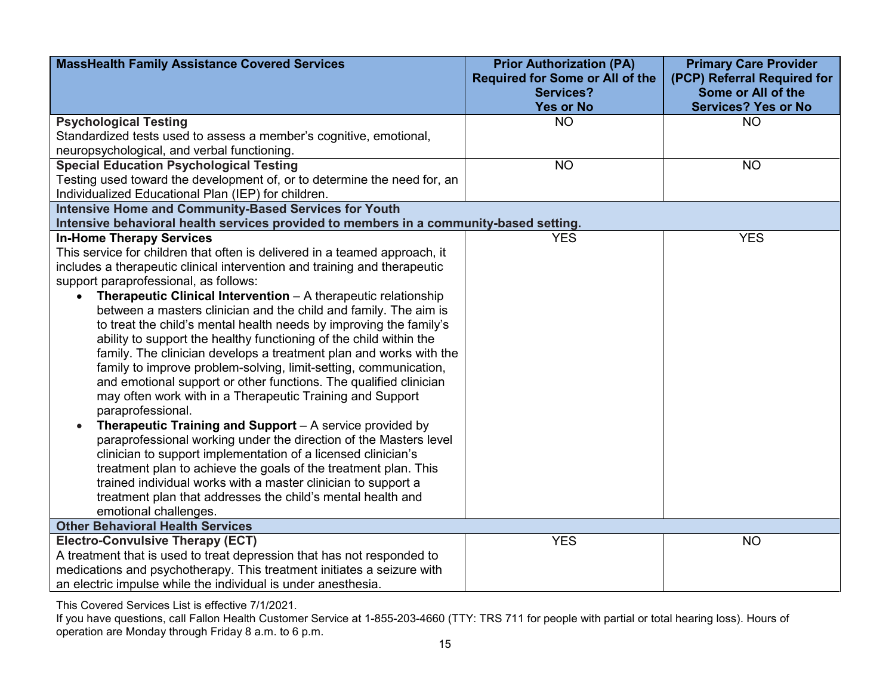| <b>MassHealth Family Assistance Covered Services</b>                                                               | <b>Prior Authorization (PA)</b>                            | <b>Primary Care Provider</b>                      |
|--------------------------------------------------------------------------------------------------------------------|------------------------------------------------------------|---------------------------------------------------|
|                                                                                                                    | <b>Required for Some or All of the</b><br><b>Services?</b> | (PCP) Referral Required for<br>Some or All of the |
|                                                                                                                    | <b>Yes or No</b>                                           | <b>Services? Yes or No</b>                        |
| <b>Psychological Testing</b>                                                                                       | <b>NO</b>                                                  | <b>NO</b>                                         |
| Standardized tests used to assess a member's cognitive, emotional,                                                 |                                                            |                                                   |
| neuropsychological, and verbal functioning.                                                                        |                                                            |                                                   |
| <b>Special Education Psychological Testing</b>                                                                     | <b>NO</b>                                                  | <b>NO</b>                                         |
| Testing used toward the development of, or to determine the need for, an                                           |                                                            |                                                   |
| Individualized Educational Plan (IEP) for children.                                                                |                                                            |                                                   |
| <b>Intensive Home and Community-Based Services for Youth</b>                                                       |                                                            |                                                   |
| Intensive behavioral health services provided to members in a community-based setting.                             |                                                            |                                                   |
| <b>In-Home Therapy Services</b>                                                                                    | <b>YES</b>                                                 | <b>YES</b>                                        |
| This service for children that often is delivered in a teamed approach, it                                         |                                                            |                                                   |
| includes a therapeutic clinical intervention and training and therapeutic<br>support paraprofessional, as follows: |                                                            |                                                   |
| <b>Therapeutic Clinical Intervention</b> $- A$ therapeutic relationship                                            |                                                            |                                                   |
| between a masters clinician and the child and family. The aim is                                                   |                                                            |                                                   |
| to treat the child's mental health needs by improving the family's                                                 |                                                            |                                                   |
| ability to support the healthy functioning of the child within the                                                 |                                                            |                                                   |
| family. The clinician develops a treatment plan and works with the                                                 |                                                            |                                                   |
| family to improve problem-solving, limit-setting, communication,                                                   |                                                            |                                                   |
| and emotional support or other functions. The qualified clinician                                                  |                                                            |                                                   |
| may often work with in a Therapeutic Training and Support                                                          |                                                            |                                                   |
| paraprofessional.                                                                                                  |                                                            |                                                   |
| Therapeutic Training and Support - A service provided by                                                           |                                                            |                                                   |
| paraprofessional working under the direction of the Masters level                                                  |                                                            |                                                   |
| clinician to support implementation of a licensed clinician's                                                      |                                                            |                                                   |
| treatment plan to achieve the goals of the treatment plan. This                                                    |                                                            |                                                   |
| trained individual works with a master clinician to support a                                                      |                                                            |                                                   |
| treatment plan that addresses the child's mental health and                                                        |                                                            |                                                   |
| emotional challenges.                                                                                              |                                                            |                                                   |
| <b>Other Behavioral Health Services</b>                                                                            |                                                            |                                                   |
| <b>Electro-Convulsive Therapy (ECT)</b>                                                                            | <b>YES</b>                                                 | <b>NO</b>                                         |
| A treatment that is used to treat depression that has not responded to                                             |                                                            |                                                   |
| medications and psychotherapy. This treatment initiates a seizure with                                             |                                                            |                                                   |
| an electric impulse while the individual is under anesthesia.                                                      |                                                            |                                                   |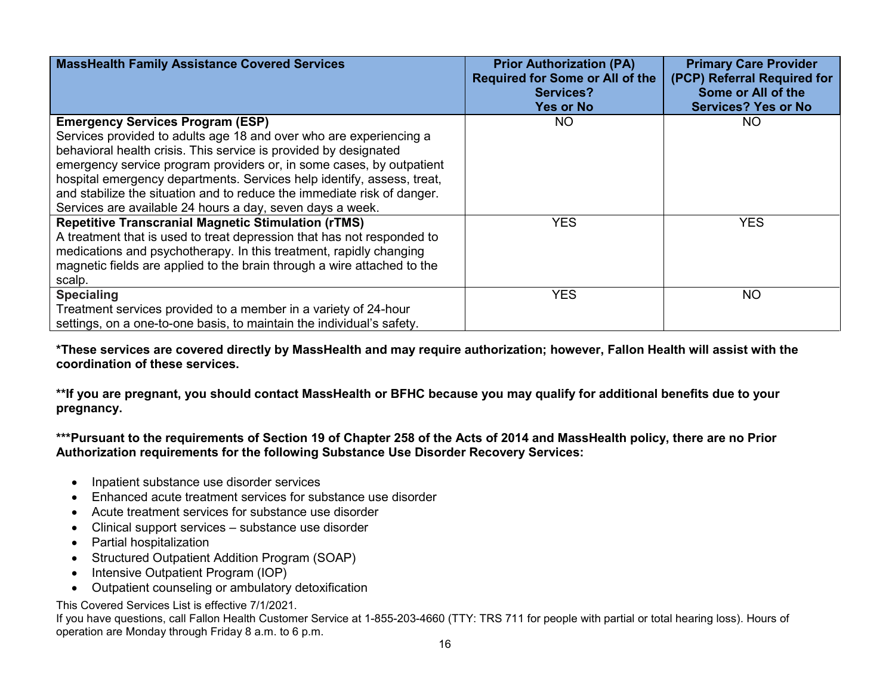| <b>MassHealth Family Assistance Covered Services</b>                    | <b>Prior Authorization (PA)</b><br><b>Required for Some or All of the</b><br><b>Services?</b><br><b>Yes or No</b> | <b>Primary Care Provider</b><br>(PCP) Referral Required for<br>Some or All of the<br><b>Services? Yes or No</b> |
|-------------------------------------------------------------------------|-------------------------------------------------------------------------------------------------------------------|-----------------------------------------------------------------------------------------------------------------|
| <b>Emergency Services Program (ESP)</b>                                 | <b>NO</b>                                                                                                         | NO.                                                                                                             |
| Services provided to adults age 18 and over who are experiencing a      |                                                                                                                   |                                                                                                                 |
| behavioral health crisis. This service is provided by designated        |                                                                                                                   |                                                                                                                 |
| emergency service program providers or, in some cases, by outpatient    |                                                                                                                   |                                                                                                                 |
| hospital emergency departments. Services help identify, assess, treat,  |                                                                                                                   |                                                                                                                 |
| and stabilize the situation and to reduce the immediate risk of danger. |                                                                                                                   |                                                                                                                 |
| Services are available 24 hours a day, seven days a week.               |                                                                                                                   |                                                                                                                 |
| <b>Repetitive Transcranial Magnetic Stimulation (rTMS)</b>              | <b>YES</b>                                                                                                        | <b>YES</b>                                                                                                      |
| A treatment that is used to treat depression that has not responded to  |                                                                                                                   |                                                                                                                 |
| medications and psychotherapy. In this treatment, rapidly changing      |                                                                                                                   |                                                                                                                 |
| magnetic fields are applied to the brain through a wire attached to the |                                                                                                                   |                                                                                                                 |
| scalp.                                                                  |                                                                                                                   |                                                                                                                 |
| <b>Specialing</b>                                                       | <b>YES</b>                                                                                                        | <b>NO</b>                                                                                                       |
| Treatment services provided to a member in a variety of 24-hour         |                                                                                                                   |                                                                                                                 |
| settings, on a one-to-one basis, to maintain the individual's safety.   |                                                                                                                   |                                                                                                                 |

**\*These services are covered directly by MassHealth and may require authorization; however, Fallon Health will assist with the coordination of these services.** 

**\*\*If you are pregnant, you should contact MassHealth or BFHC because you may qualify for additional benefits due to your pregnancy.**

**\*\*\*Pursuant to the requirements of Section 19 of Chapter 258 of the Acts of 2014 and MassHealth policy, there are no Prior Authorization requirements for the following Substance Use Disorder Recovery Services:**

- Inpatient substance use disorder services
- Enhanced acute treatment services for substance use disorder
- Acute treatment services for substance use disorder
- Clinical support services substance use disorder
- Partial hospitalization
- Structured Outpatient Addition Program (SOAP)
- Intensive Outpatient Program (IOP)
- Outpatient counseling or ambulatory detoxification

This Covered Services List is effective 7/1/2021.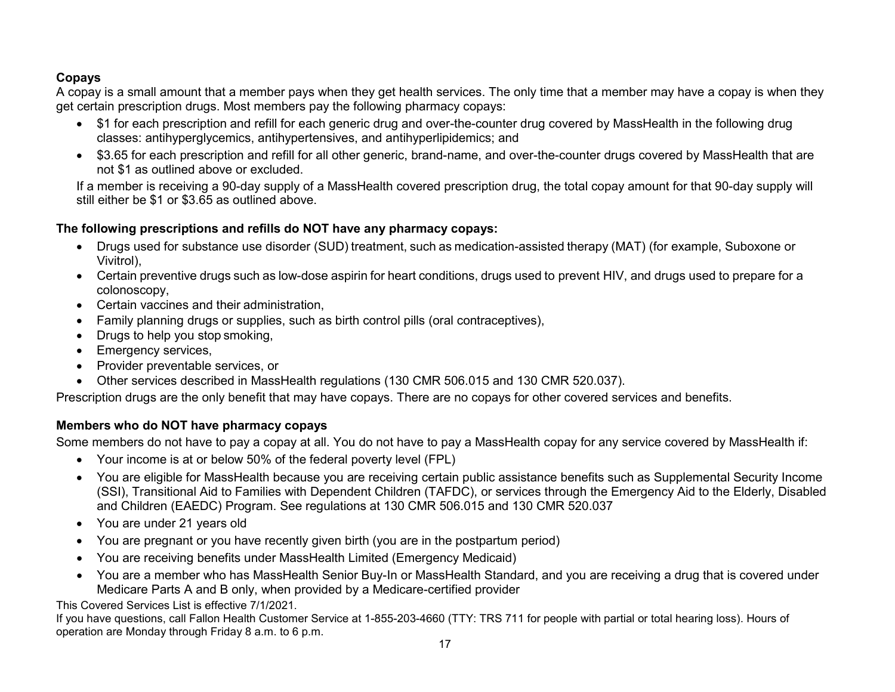## **Copays**

A copay is a small amount that a member pays when they get health services. The only time that a member may have a copay is when they get certain prescription drugs. Most members pay the following pharmacy copays:

- \$1 for each prescription and refill for each generic drug and over-the-counter drug covered by MassHealth in the following drug classes: antihyperglycemics, antihypertensives, and antihyperlipidemics; and
- \$3.65 for each prescription and refill for all other generic, brand-name, and over-the-counter drugs covered by MassHealth that are not \$1 as outlined above or excluded.

If a member is receiving a 90-day supply of a MassHealth covered prescription drug, the total copay amount for that 90-day supply will still either be \$1 or \$3.65 as outlined above.

### **The following prescriptions and refills do NOT have any pharmacy copays:**

- Drugs used for substance use disorder (SUD) treatment, such as medication-assisted therapy (MAT) (for example, Suboxone or Vivitrol),
- Certain preventive drugs such as low-dose aspirin for heart conditions, drugs used to prevent HIV, and drugs used to prepare for a colonoscopy,
- Certain vaccines and their administration,
- Family planning drugs or supplies, such as birth control pills (oral contraceptives),
- Drugs to help you stop smoking,
- Emergency services,
- Provider preventable services, or
- Other services described in MassHealth regulations (130 CMR 506.015 and 130 CMR 520.037).

Prescription drugs are the only benefit that may have copays. There are no copays for other covered services and benefits.

## **Members who do NOT have pharmacy copays**

Some members do not have to pay a copay at all. You do not have to pay a MassHealth copay for any service covered by MassHealth if:

- Your income is at or below 50% of the federal poverty level (FPL)
- You are eligible for MassHealth because you are receiving certain public assistance benefits such as Supplemental Security Income (SSI), Transitional Aid to Families with Dependent Children (TAFDC), or services through the Emergency Aid to the Elderly, Disabled and Children (EAEDC) Program. See regulations at 130 CMR 506.015 and 130 CMR 520.037
- You are under 21 years old
- You are pregnant or you have recently given birth (you are in the postpartum period)
- You are receiving benefits under MassHealth Limited (Emergency Medicaid)
- You are a member who has MassHealth Senior Buy-In or MassHealth Standard, and you are receiving a drug that is covered under Medicare Parts A and B only, when provided by a Medicare-certified provider

This Covered Services List is effective 7/1/2021.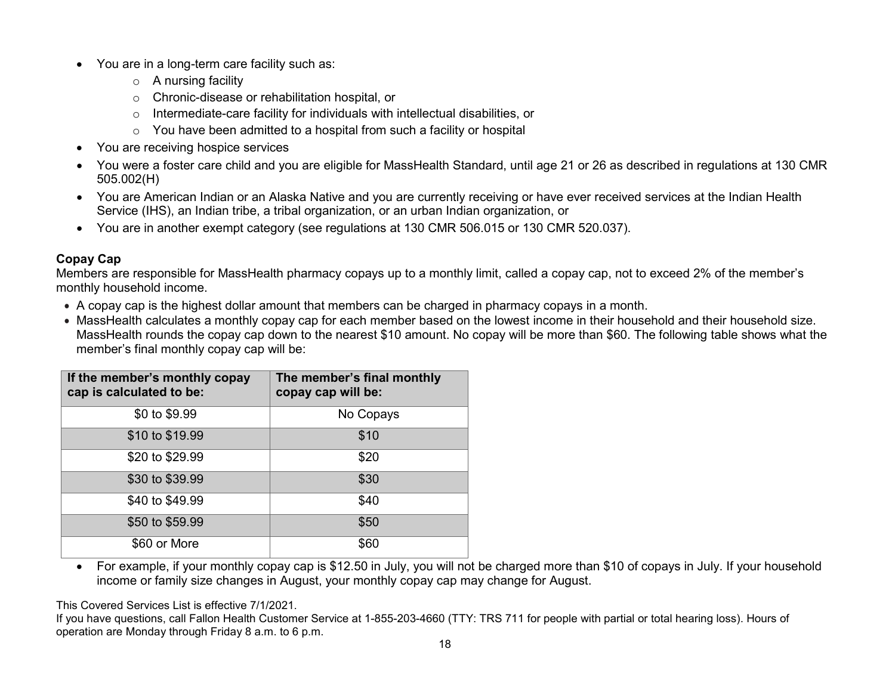- You are in a long-term care facility such as:
	- $\circ$  A nursing facility
	- o Chronic-disease or rehabilitation hospital, or
	- o Intermediate-care facility for individuals with intellectual disabilities, or
	- o You have been admitted to a hospital from such a facility or hospital
- You are receiving hospice services
- You were a foster care child and you are eligible for MassHealth Standard, until age 21 or 26 as described in regulations at 130 CMR 505.002(H)
- You are American Indian or an Alaska Native and you are currently receiving or have ever received services at the Indian Health Service (IHS), an Indian tribe, a tribal organization, or an urban Indian organization, or
- You are in another exempt category (see regulations at 130 CMR 506.015 or 130 CMR 520.037).

#### **Copay Cap**

Members are responsible for MassHealth pharmacy copays up to a monthly limit, called a copay cap, not to exceed 2% of the member's monthly household income.

- A copay cap is the highest dollar amount that members can be charged in pharmacy copays in a month.
- MassHealth calculates a monthly copay cap for each member based on the lowest income in their household and their household size. MassHealth rounds the copay cap down to the nearest \$10 amount. No copay will be more than \$60. The following table shows what the member's final monthly copay cap will be:

| If the member's monthly copay<br>cap is calculated to be: | The member's final monthly<br>copay cap will be: |  |
|-----------------------------------------------------------|--------------------------------------------------|--|
| \$0 to \$9.99                                             | No Copays                                        |  |
| \$10 to \$19.99                                           | \$10                                             |  |
| \$20 to \$29.99                                           | \$20                                             |  |
| \$30 to \$39.99                                           | \$30                                             |  |
| \$40 to \$49.99                                           | \$40                                             |  |
| \$50 to \$59.99                                           | \$50                                             |  |
| \$60 or More                                              | \$60                                             |  |

• For example, if your monthly copay cap is \$12.50 in July, you will not be charged more than \$10 of copays in July. If your household income or family size changes in August, your monthly copay cap may change for August.

This Covered Services List is effective 7/1/2021.